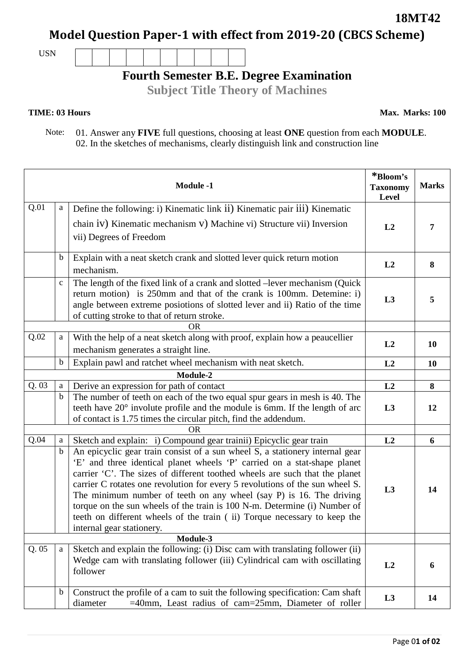**18MT42**

**Model Question Paper-1 with effect from 2019-20 (CBCS Scheme)**

USN



## **Fourth Semester B.E. Degree Examination**

**Subject Title Theory of Machines**

## **TIME: 03 Hours**

**Max. Marks: 100**

 Note: 01. Answer any **FIVE** full questions, choosing at least **ONE** question from each **MODULE**. 02. In the sketches of mechanisms, clearly distinguish link and construction line

|           |             | <b>Module -1</b>                                                                                                                                    | *Bloom's<br><b>Taxonomy</b><br>Level | <b>Marks</b> |
|-----------|-------------|-----------------------------------------------------------------------------------------------------------------------------------------------------|--------------------------------------|--------------|
| Q.01      | a           | Define the following: i) Kinematic link ii) Kinematic pair iii) Kinematic                                                                           |                                      |              |
|           |             | chain iv) Kinematic mechanism v) Machine vi) Structure vii) Inversion                                                                               | L2                                   | 7            |
|           |             | vii) Degrees of Freedom                                                                                                                             |                                      |              |
|           | $\mathbf b$ | Explain with a neat sketch crank and slotted lever quick return motion                                                                              |                                      |              |
|           |             | mechanism.                                                                                                                                          | L2                                   | 8            |
|           | $\mathbf c$ | The length of the fixed link of a crank and slotted –lever mechanism (Quick                                                                         | L3                                   | 5            |
|           |             | return motion) is 250mm and that of the crank is 100mm. Detemine: i)<br>angle between extreme posiotions of slotted lever and ii) Ratio of the time |                                      |              |
|           |             | of cutting stroke to that of return stroke.                                                                                                         |                                      |              |
| <b>OR</b> |             |                                                                                                                                                     |                                      |              |
| Q.02      | a           | With the help of a neat sketch along with proof, explain how a peaucellier                                                                          | L2                                   | 10           |
|           |             | mechanism generates a straight line.                                                                                                                |                                      |              |
|           | b           | Explain pawl and ratchet wheel mechanism with neat sketch.                                                                                          | L2                                   | 10           |
| Module-2  |             |                                                                                                                                                     |                                      |              |
| Q.03      | a           | Derive an expression for path of contact                                                                                                            | L2                                   | 8            |
|           | $\mathbf b$ | The number of teeth on each of the two equal spur gears in mesh is 40. The                                                                          |                                      |              |
|           |             | teeth have 20° involute profile and the module is 6mm. If the length of arc                                                                         | L3                                   | 12           |
|           |             | of contact is 1.75 times the circular pitch, find the addendum.<br><b>OR</b>                                                                        |                                      |              |
| Q.04      | a           | Sketch and explain: i) Compound gear trainii) Epicyclic gear train                                                                                  | L2                                   | 6            |
|           | b           | An epicyclic gear train consist of a sun wheel S, a stationery internal gear                                                                        |                                      |              |
|           |             | 'E' and three identical planet wheels 'P' carried on a stat-shape planet                                                                            |                                      | 14           |
|           |             | carrier 'C'. The sizes of different toothed wheels are such that the planet                                                                         |                                      |              |
|           |             | carrier C rotates one revolution for every 5 revolutions of the sun wheel S.                                                                        | L3                                   |              |
|           |             | The minimum number of teeth on any wheel (say P) is 16. The driving                                                                                 |                                      |              |
|           |             | torque on the sun wheels of the train is 100 N-m. Determine (i) Number of                                                                           |                                      |              |
|           |             | teeth on different wheels of the train (ii) Torque necessary to keep the<br>internal gear stationery.                                               |                                      |              |
|           |             | Module-3                                                                                                                                            |                                      |              |
| Q.05      | a           | Sketch and explain the following: (i) Disc cam with translating follower (ii)                                                                       |                                      |              |
|           |             | Wedge cam with translating follower (iii) Cylindrical cam with oscillating                                                                          | L2                                   | 6            |
|           |             | follower                                                                                                                                            |                                      |              |
|           | b           | Construct the profile of a cam to suit the following specification: Cam shaft                                                                       | L3                                   | 14           |
|           |             | =40mm, Least radius of cam=25mm, Diameter of roller<br>diameter                                                                                     |                                      |              |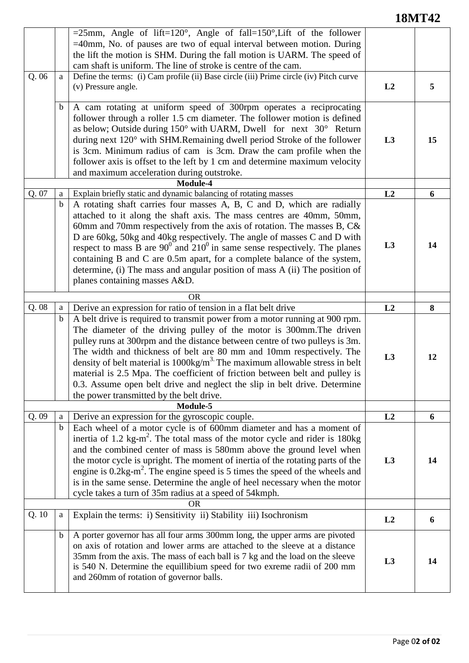## **18MT42**

|                                                                                           |                  | $=25$ mm, Angle of lift=120°, Angle of fall=150°, Lift of the follower<br>$=40$ mm, No. of pauses are two of equal interval between motion. During<br>the lift the motion is SHM. During the fall motion is UARM. The speed of<br>cam shaft is uniform. The line of stroke is centre of the cam.                                                                                                                                                                                                                                                                                                                                    |                      |         |
|-------------------------------------------------------------------------------------------|------------------|-------------------------------------------------------------------------------------------------------------------------------------------------------------------------------------------------------------------------------------------------------------------------------------------------------------------------------------------------------------------------------------------------------------------------------------------------------------------------------------------------------------------------------------------------------------------------------------------------------------------------------------|----------------------|---------|
| Q. 06                                                                                     | a                | Define the terms: (i) Cam profile (ii) Base circle (iii) Prime circle (iv) Pitch curve<br>(v) Pressure angle.                                                                                                                                                                                                                                                                                                                                                                                                                                                                                                                       | L2                   | 5       |
|                                                                                           | $\mathbf b$      | A cam rotating at uniform speed of 300rpm operates a reciprocating<br>follower through a roller 1.5 cm diameter. The follower motion is defined<br>as below; Outside during 150° with UARM, Dwell for next 30° Return<br>during next 120° with SHM.Remaining dwell period Stroke of the follower<br>is 3cm. Minimum radius of cam is 3cm. Draw the cam profile when the<br>follower axis is offset to the left by 1 cm and determine maximum velocity<br>and maximum acceleration during outstroke.                                                                                                                                 | L3                   | 15      |
| Module-4<br>Q. 07<br>Explain briefly static and dynamic balancing of rotating masses<br>a |                  |                                                                                                                                                                                                                                                                                                                                                                                                                                                                                                                                                                                                                                     | L2                   | 6       |
|                                                                                           | $\mathbf b$      | A rotating shaft carries four masses A, B, C and D, which are radially                                                                                                                                                                                                                                                                                                                                                                                                                                                                                                                                                              |                      |         |
|                                                                                           |                  | attached to it along the shaft axis. The mass centres are 40mm, 50mm,<br>60mm and 70mm respectively from the axis of rotation. The masses B, $C\&$<br>D are 60kg, 50kg and 40kg respectively. The angle of masses C and D with<br>respect to mass B are $90^0$ and $210^0$ in same sense respectively. The planes<br>containing B and C are 0.5m apart, for a complete balance of the system,<br>determine, (i) The mass and angular position of mass A (ii) The position of<br>planes containing masses A&D.                                                                                                                       | L3                   | 14      |
|                                                                                           |                  | <b>OR</b>                                                                                                                                                                                                                                                                                                                                                                                                                                                                                                                                                                                                                           |                      |         |
| Q.08                                                                                      | $\mathbf{a}$     | Derive an expression for ratio of tension in a flat belt drive                                                                                                                                                                                                                                                                                                                                                                                                                                                                                                                                                                      | L2                   | 8       |
|                                                                                           | $\mathbf b$      | A belt drive is required to transmit power from a motor running at 900 rpm.<br>The diameter of the driving pulley of the motor is 300mm. The driven<br>pulley runs at 300rpm and the distance between centre of two pulleys is 3m.<br>The width and thickness of belt are 80 mm and 10mm respectively. The<br>density of belt material is $1000 \text{kg/m}^3$ . The maximum allowable stress in belt<br>material is 2.5 Mpa. The coefficient of friction between belt and pulley is<br>0.3. Assume open belt drive and neglect the slip in belt drive. Determine<br>the power transmitted by the belt drive.                       | L <sub>3</sub>       | 12      |
| Q.09                                                                                      |                  | Module-5                                                                                                                                                                                                                                                                                                                                                                                                                                                                                                                                                                                                                            |                      |         |
|                                                                                           | a<br>$\mathbf b$ | Derive an expression for the gyroscopic couple.<br>Each wheel of a motor cycle is of 600mm diameter and has a moment of<br>inertia of 1.2 $\text{kg-m}^2$ . The total mass of the motor cycle and rider is 180 $\text{kg}$<br>and the combined center of mass is 580mm above the ground level when<br>the motor cycle is upright. The moment of inertia of the rotating parts of the<br>engine is $0.2\text{kg-m}^2$ . The engine speed is 5 times the speed of the wheels and<br>is in the same sense. Determine the angle of heel necessary when the motor<br>cycle takes a turn of 35m radius at a speed of 54kmph.<br><b>OR</b> | L2<br>L <sub>3</sub> | 6<br>14 |
| Q. 10                                                                                     | a                | Explain the terms: i) Sensitivity ii) Stability iii) Isochronism                                                                                                                                                                                                                                                                                                                                                                                                                                                                                                                                                                    |                      |         |
|                                                                                           |                  |                                                                                                                                                                                                                                                                                                                                                                                                                                                                                                                                                                                                                                     | L2                   | 6       |
|                                                                                           | $\mathbf b$      | A porter governor has all four arms 300mm long, the upper arms are pivoted<br>on axis of rotation and lower arms are attached to the sleeve at a distance<br>35mm from the axis. The mass of each ball is 7 kg and the load on the sleeve<br>is 540 N. Determine the equillibium speed for two exreme radii of 200 mm<br>and 260mm of rotation of governor balls.                                                                                                                                                                                                                                                                   | L3                   | 14      |